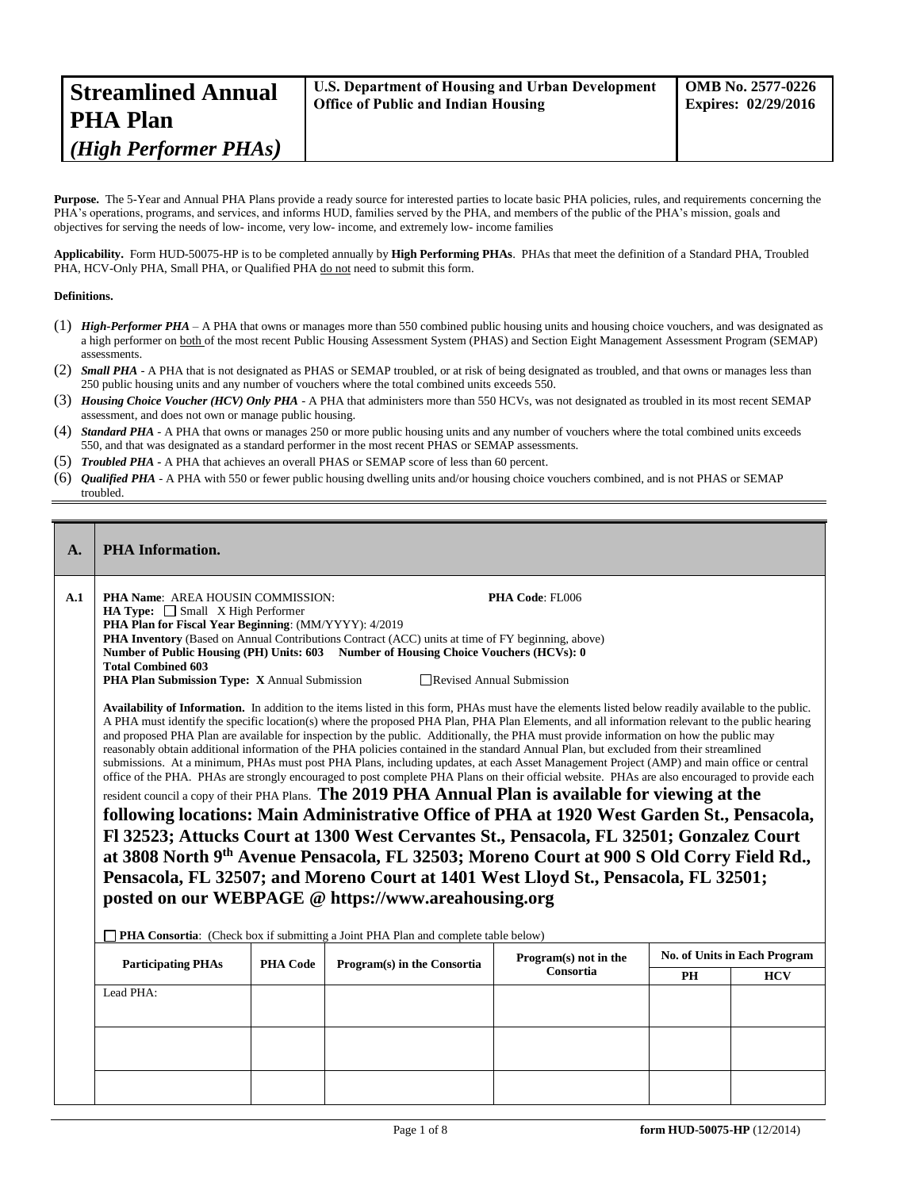| <b>Streamlined Annual</b>     | U.S. Department of Housing and Urban Development | <b>OMB No. 2577-0226</b>   |
|-------------------------------|--------------------------------------------------|----------------------------|
| PHA Plan                      | <b>Office of Public and Indian Housing</b>       | <b>Expires: 02/29/2016</b> |
| $\vert$ (High Performer PHAs) |                                                  |                            |

Purpose. The 5-Year and Annual PHA Plans provide a ready source for interested parties to locate basic PHA policies, rules, and requirements concerning the PHA's operations, programs, and services, and informs HUD, families served by the PHA, and members of the public of the PHA's mission, goals and objectives for serving the needs of low- income, very low- income, and extremely low- income families

**Applicability.** Form HUD-50075-HP is to be completed annually by **High Performing PHAs**. PHAs that meet the definition of a Standard PHA, Troubled PHA, HCV-Only PHA, Small PHA, or Qualified PHA do not need to submit this form.

#### **Definitions.**

- (1) *High-Performer PHA* A PHA that owns or manages more than 550 combined public housing units and housing choice vouchers, and was designated as a high performer on both of the most recent Public Housing Assessment System (PHAS) and Section Eight Management Assessment Program (SEMAP) assessments.
- (2) *Small PHA* A PHA that is not designated as PHAS or SEMAP troubled, or at risk of being designated as troubled, and that owns or manages less than 250 public housing units and any number of vouchers where the total combined units exceeds 550.
- (3) *Housing Choice Voucher (HCV) Only PHA* A PHA that administers more than 550 HCVs, was not designated as troubled in its most recent SEMAP assessment, and does not own or manage public housing.
- (4) *Standard PHA* A PHA that owns or manages 250 or more public housing units and any number of vouchers where the total combined units exceeds 550, and that was designated as a standard performer in the most recent PHAS or SEMAP assessments.
- (5) *Troubled PHA* **-** A PHA that achieves an overall PHAS or SEMAP score of less than 60 percent.
- (6) *Qualified PHA* A PHA with 550 or fewer public housing dwelling units and/or housing choice vouchers combined, and is not PHAS or SEMAP troubled.

| <b>PHA</b> Information.   |                                                                                                                                                                                                                                                                                                                                                                                                                                                                                                                                                                                                                                                                                                                                                                                                                                                                                                                                                                                                                                                                                                                                                                                                                                                                                                                                                                                                                                |                                                                  |                                                                                                                                                                            |                                                                                                                                                                                                                                                                                                                                                                   |            |
|---------------------------|--------------------------------------------------------------------------------------------------------------------------------------------------------------------------------------------------------------------------------------------------------------------------------------------------------------------------------------------------------------------------------------------------------------------------------------------------------------------------------------------------------------------------------------------------------------------------------------------------------------------------------------------------------------------------------------------------------------------------------------------------------------------------------------------------------------------------------------------------------------------------------------------------------------------------------------------------------------------------------------------------------------------------------------------------------------------------------------------------------------------------------------------------------------------------------------------------------------------------------------------------------------------------------------------------------------------------------------------------------------------------------------------------------------------------------|------------------------------------------------------------------|----------------------------------------------------------------------------------------------------------------------------------------------------------------------------|-------------------------------------------------------------------------------------------------------------------------------------------------------------------------------------------------------------------------------------------------------------------------------------------------------------------------------------------------------------------|------------|
| <b>Total Combined 603</b> | PHA Code: FL006<br>Revised Annual Submission<br>Availability of Information. In addition to the items listed in this form, PHAs must have the elements listed below readily available to the public.<br>A PHA must identify the specific location(s) where the proposed PHA Plan, PHA Plan Elements, and all information relevant to the public hearing<br>and proposed PHA Plan are available for inspection by the public. Additionally, the PHA must provide information on how the public may<br>reasonably obtain additional information of the PHA policies contained in the standard Annual Plan, but excluded from their streamlined<br>submissions. At a minimum, PHAs must post PHA Plans, including updates, at each Asset Management Project (AMP) and main office or central<br>office of the PHA. PHAs are strongly encouraged to post complete PHA Plans on their official website. PHAs are also encouraged to provide each<br>resident council a copy of their PHA Plans. The 2019 PHA Annual Plan is available for viewing at the<br>following locations: Main Administrative Office of PHA at 1920 West Garden St., Pensacola,<br>Fl 32523; Attucks Court at 1300 West Cervantes St., Pensacola, FL 32501; Gonzalez Court<br>at 3808 North 9th Avenue Pensacola, FL 32503; Moreno Court at 900 S Old Corry Field Rd.,<br>Pensacola, FL 32507; and Moreno Court at 1401 West Lloyd St., Pensacola, FL 32501; |                                                                  |                                                                                                                                                                            |                                                                                                                                                                                                                                                                                                                                                                   |            |
|                           |                                                                                                                                                                                                                                                                                                                                                                                                                                                                                                                                                                                                                                                                                                                                                                                                                                                                                                                                                                                                                                                                                                                                                                                                                                                                                                                                                                                                                                |                                                                  | Program(s) not in the                                                                                                                                                      | No. of Units in Each Program                                                                                                                                                                                                                                                                                                                                      |            |
|                           |                                                                                                                                                                                                                                                                                                                                                                                                                                                                                                                                                                                                                                                                                                                                                                                                                                                                                                                                                                                                                                                                                                                                                                                                                                                                                                                                                                                                                                |                                                                  |                                                                                                                                                                            | <b>PH</b>                                                                                                                                                                                                                                                                                                                                                         | <b>HCV</b> |
|                           |                                                                                                                                                                                                                                                                                                                                                                                                                                                                                                                                                                                                                                                                                                                                                                                                                                                                                                                                                                                                                                                                                                                                                                                                                                                                                                                                                                                                                                |                                                                  |                                                                                                                                                                            |                                                                                                                                                                                                                                                                                                                                                                   |            |
|                           |                                                                                                                                                                                                                                                                                                                                                                                                                                                                                                                                                                                                                                                                                                                                                                                                                                                                                                                                                                                                                                                                                                                                                                                                                                                                                                                                                                                                                                |                                                                  |                                                                                                                                                                            |                                                                                                                                                                                                                                                                                                                                                                   |            |
|                           |                                                                                                                                                                                                                                                                                                                                                                                                                                                                                                                                                                                                                                                                                                                                                                                                                                                                                                                                                                                                                                                                                                                                                                                                                                                                                                                                                                                                                                |                                                                  |                                                                                                                                                                            |                                                                                                                                                                                                                                                                                                                                                                   |            |
|                           |                                                                                                                                                                                                                                                                                                                                                                                                                                                                                                                                                                                                                                                                                                                                                                                                                                                                                                                                                                                                                                                                                                                                                                                                                                                                                                                                                                                                                                |                                                                  |                                                                                                                                                                            |                                                                                                                                                                                                                                                                                                                                                                   |            |
|                           | <b>Participating PHAs</b><br>Lead PHA:                                                                                                                                                                                                                                                                                                                                                                                                                                                                                                                                                                                                                                                                                                                                                                                                                                                                                                                                                                                                                                                                                                                                                                                                                                                                                                                                                                                         | <b>HA Type:</b> $\Box$ Small X High Performer<br><b>PHA Code</b> | PHA Name: AREA HOUSIN COMMISSION:<br>PHA Plan for Fiscal Year Beginning: (MM/YYYY): 4/2019<br>PHA Plan Submission Type: X Annual Submission<br>Program(s) in the Consortia | <b>PHA Inventory</b> (Based on Annual Contributions Contract (ACC) units at time of FY beginning, above)<br>Number of Public Housing (PH) Units: 603 Number of Housing Choice Vouchers (HCVs): 0<br>posted on our WEBPAGE @ https://www.areahousing.org<br><b>PHA Consortia:</b> (Check box if submitting a Joint PHA Plan and complete table below)<br>Consortia |            |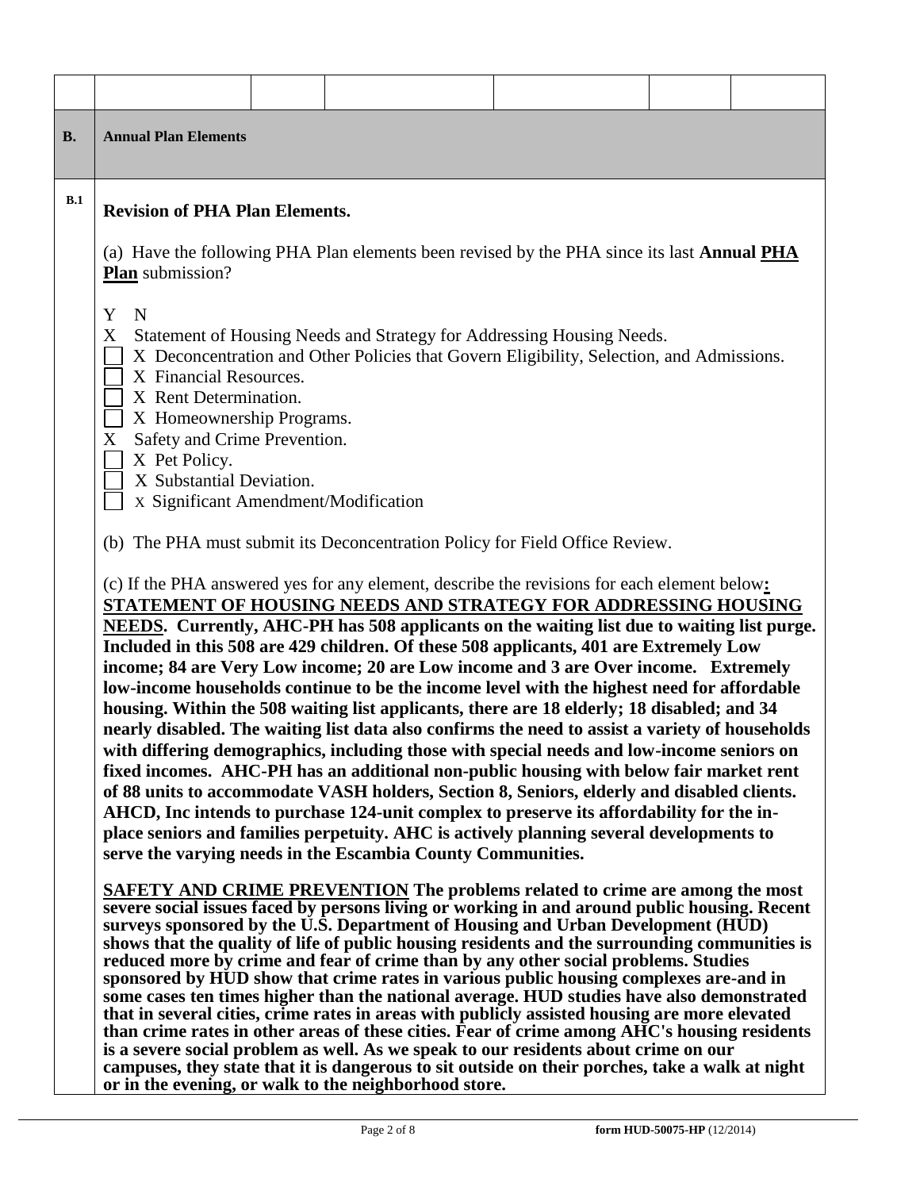| <b>B.</b> | <b>Annual Plan Elements</b>                                                                                                                                                                                           |                                                                                                                                                                                                                                                                                                                                                                                                                                                                                                                                                                                                                                                                                                                                                                                                                                                                                                                                                                                                                                                                                                                                                                                                                                                                                             |  |  |
|-----------|-----------------------------------------------------------------------------------------------------------------------------------------------------------------------------------------------------------------------|---------------------------------------------------------------------------------------------------------------------------------------------------------------------------------------------------------------------------------------------------------------------------------------------------------------------------------------------------------------------------------------------------------------------------------------------------------------------------------------------------------------------------------------------------------------------------------------------------------------------------------------------------------------------------------------------------------------------------------------------------------------------------------------------------------------------------------------------------------------------------------------------------------------------------------------------------------------------------------------------------------------------------------------------------------------------------------------------------------------------------------------------------------------------------------------------------------------------------------------------------------------------------------------------|--|--|
| B.1       | <b>Revision of PHA Plan Elements.</b>                                                                                                                                                                                 |                                                                                                                                                                                                                                                                                                                                                                                                                                                                                                                                                                                                                                                                                                                                                                                                                                                                                                                                                                                                                                                                                                                                                                                                                                                                                             |  |  |
|           | Plan submission?                                                                                                                                                                                                      | (a) Have the following PHA Plan elements been revised by the PHA since its last <b>Annual PHA</b>                                                                                                                                                                                                                                                                                                                                                                                                                                                                                                                                                                                                                                                                                                                                                                                                                                                                                                                                                                                                                                                                                                                                                                                           |  |  |
|           | Y<br>N<br>X<br>X Financial Resources.<br>X Rent Determination.<br>X Homeownership Programs.<br>Safety and Crime Prevention.<br>X<br>X Pet Policy.<br>X Substantial Deviation.<br>X Significant Amendment/Modification | Statement of Housing Needs and Strategy for Addressing Housing Needs.<br>X Deconcentration and Other Policies that Govern Eligibility, Selection, and Admissions.<br>(b) The PHA must submit its Deconcentration Policy for Field Office Review.                                                                                                                                                                                                                                                                                                                                                                                                                                                                                                                                                                                                                                                                                                                                                                                                                                                                                                                                                                                                                                            |  |  |
|           |                                                                                                                                                                                                                       | (c) If the PHA answered yes for any element, describe the revisions for each element below:<br>STATEMENT OF HOUSING NEEDS AND STRATEGY FOR ADDRESSING HOUSING<br><b>NEEDS.</b> Currently, AHC-PH has 508 applicants on the waiting list due to waiting list purge.<br>Included in this 508 are 429 children. Of these 508 applicants, 401 are Extremely Low<br>income; 84 are Very Low income; 20 are Low income and 3 are Over income. Extremely<br>low-income households continue to be the income level with the highest need for affordable<br>housing. Within the 508 waiting list applicants, there are 18 elderly; 18 disabled; and 34<br>nearly disabled. The waiting list data also confirms the need to assist a variety of households<br>with differing demographics, including those with special needs and low-income seniors on<br>fixed incomes. AHC-PH has an additional non-public housing with below fair market rent<br>of 88 units to accommodate VASH holders, Section 8, Seniors, elderly and disabled clients.<br>AHCD, Inc intends to purchase 124-unit complex to preserve its affordability for the in-<br>place seniors and families perpetuity. AHC is actively planning several developments to<br>serve the varying needs in the Escambia County Communities. |  |  |

**SAFETY AND CRIME PREVENTION The problems related to crime are among the most severe social issues faced by persons living or working in and around public housing. Recent**  surveys sponsored by the U.S. Department of Housing and Urban Development (HUD) **shows that the quality of life of public housing residents and the surrounding communities is reduced more by crime and fear of crime than by any other social problems. Studies sponsored by HUD show that crime rates in various public housing complexes are-and in some cases ten times higher than the national average. HUD studies have also demonstrated that in several cities, crime rates in areas with publicly assisted housing are more elevated than crime rates in other areas of these cities. Fear of crime among AHC's housing residents is a severe social problem as well. As we speak to our residents about crime on our campuses, they state that it is dangerous to sit outside on their porches, take a walk at night or in the evening, or walk to the neighborhood store.**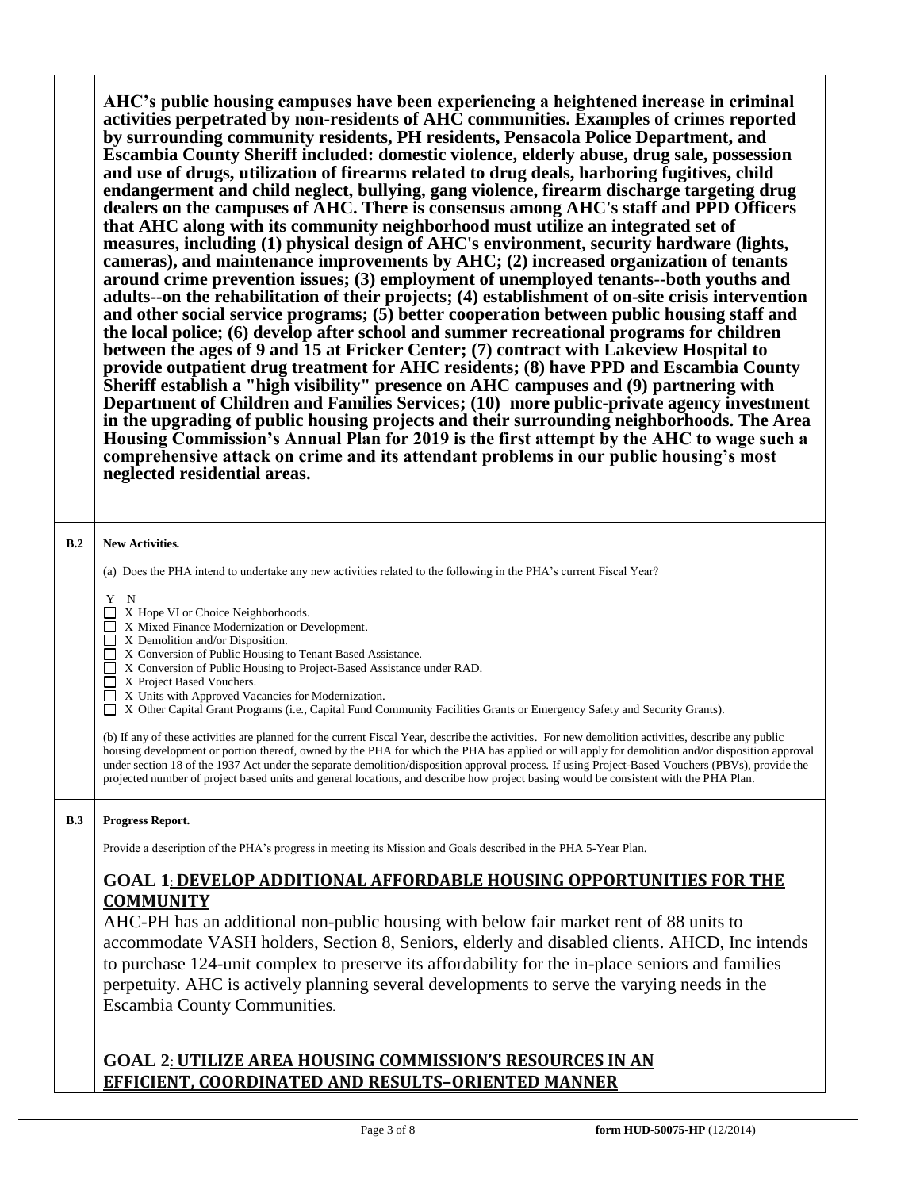**AHC's public housing campuses have been experiencing a heightened increase in criminal activities perpetrated by non-residents of AHC communities. Examples of crimes reported by surrounding community residents, PH residents, Pensacola Police Department, and Escambia County Sheriff included: domestic violence, elderly abuse, drug sale, possession and use of drugs, utilization of firearms related to drug deals, harboring fugitives, child endangerment and child neglect, bullying, gang violence, firearm discharge targeting drug dealers on the campuses of AHC. There is consensus among AHC's staff and PPD Officers that AHC along with its community neighborhood must utilize an integrated set of measures, including (1) physical design of AHC's environment, security hardware (lights, cameras), and maintenance improvements by AHC; (2) increased organization of tenants around crime prevention issues; (3) employment of unemployed tenants--both youths and adults--on the rehabilitation of their projects; (4) establishment of on-site crisis intervention and other social service programs; (5) better cooperation between public housing staff and the local police; (6) develop after school and summer recreational programs for children between the ages of 9 and 15 at Fricker Center; (7) contract with Lakeview Hospital to provide outpatient drug treatment for AHC residents; (8) have PPD and Escambia County Sheriff establish a "high visibility" presence on AHC campuses and (9) partnering with Department of Children and Families Services; (10) more public-private agency investment in the upgrading of public housing projects and their surrounding neighborhoods. The Area Housing Commission's Annual Plan for 2019 is the first attempt by the AHC to wage such a comprehensive attack on crime and its attendant problems in our public housing's most neglected residential areas.**

#### **B.2 New Activities***.*

(a) Does the PHA intend to undertake any new activities related to the following in the PHA's current Fiscal Year?

Y N

- X Hope VI or Choice Neighborhoods.
- X Mixed Finance Modernization or Development.
- $\overline{\Box}$  X Demolition and/or Disposition.
- X Conversion of Public Housing to Tenant Based Assistance.
- X Conversion of Public Housing to Project-Based Assistance under RAD.<br>
X Project Based Vouchers.
- X Project Based Vouchers.
- $\overrightarrow{a}$  X Units with Approved Vacancies for Modernization.

□ X Other Capital Grant Programs (i.e., Capital Fund Community Facilities Grants or Emergency Safety and Security Grants).

(b) If any of these activities are planned for the current Fiscal Year, describe the activities. For new demolition activities, describe any public housing development or portion thereof, owned by the PHA for which the PHA has applied or will apply for demolition and/or disposition approval under section 18 of the 1937 Act under the separate demolition/disposition approval process. If using Project-Based Vouchers (PBVs), provide the projected number of project based units and general locations, and describe how project basing would be consistent with the PHA Plan.

#### **B.3 Progress Report.**

Provide a description of the PHA's progress in meeting its Mission and Goals described in the PHA 5-Year Plan.

### **GOAL 1: DEVELOP ADDITIONAL AFFORDABLE HOUSING OPPORTUNITIES FOR THE COMMUNITY**

AHC-PH has an additional non-public housing with below fair market rent of 88 units to accommodate VASH holders, Section 8, Seniors, elderly and disabled clients. AHCD, Inc intends to purchase 124-unit complex to preserve its affordability for the in-place seniors and families perpetuity. AHC is actively planning several developments to serve the varying needs in the Escambia County Communities.

# **GOAL 2: UTILIZE AREA HOUSING COMMISSION'S RESOURCES IN AN EFFICIENT, COORDINATED AND RESULTS–ORIENTED MANNER**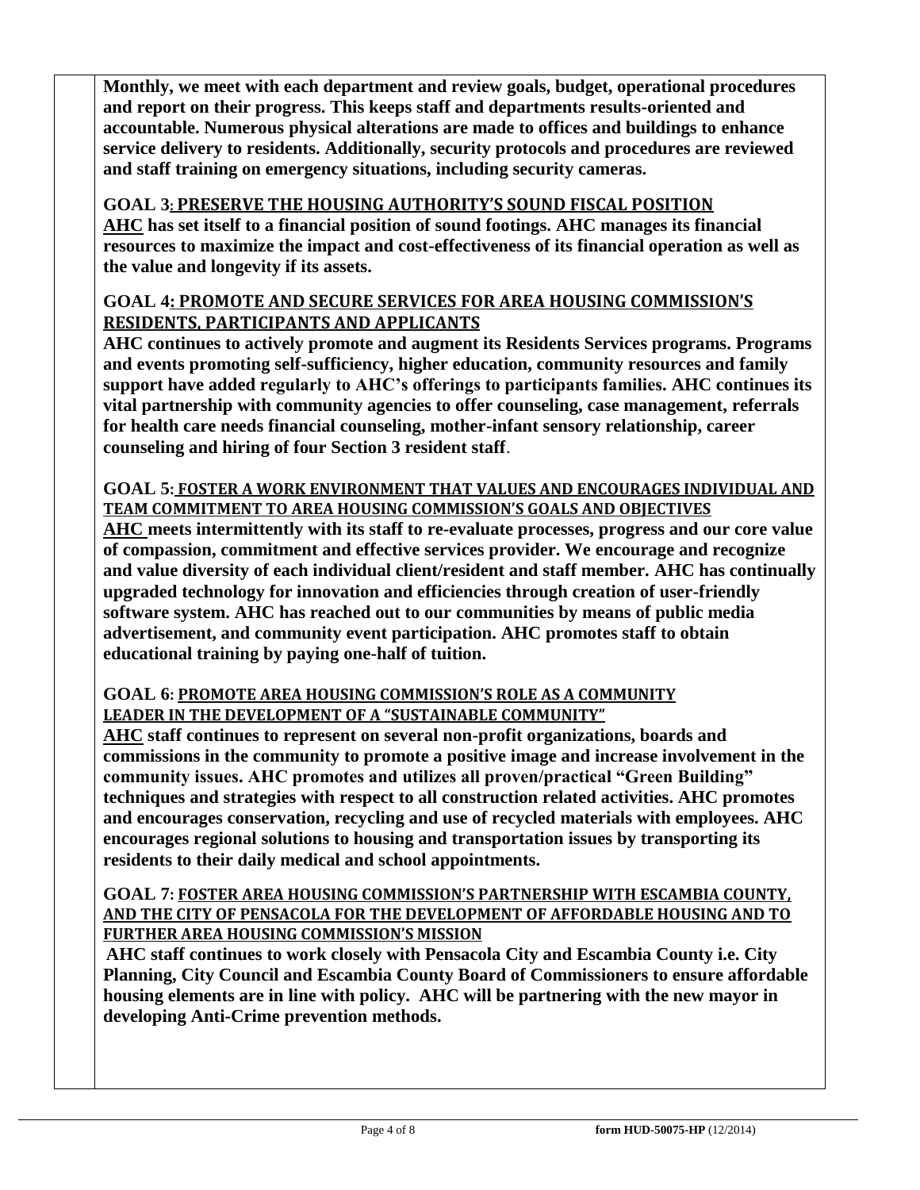**Monthly, we meet with each department and review goals, budget, operational procedures and report on their progress. This keeps staff and departments results-oriented and accountable. Numerous physical alterations are made to offices and buildings to enhance service delivery to residents. Additionally, security protocols and procedures are reviewed and staff training on emergency situations, including security cameras.**

# **GOAL 3: PRESERVE THE HOUSING AUTHORITY'S SOUND FISCAL POSITION**

**AHC has set itself to a financial position of sound footings. AHC manages its financial resources to maximize the impact and cost-effectiveness of its financial operation as well as the value and longevity if its assets.** 

# **GOAL 4: PROMOTE AND SECURE SERVICES FOR AREA HOUSING COMMISSION'S RESIDENTS, PARTICIPANTS AND APPLICANTS**

**AHC continues to actively promote and augment its Residents Services programs. Programs and events promoting self-sufficiency, higher education, community resources and family support have added regularly to AHC's offerings to participants families. AHC continues its vital partnership with community agencies to offer counseling, case management, referrals for health care needs financial counseling, mother-infant sensory relationship, career counseling and hiring of four Section 3 resident staff**.

### **GOAL 5: FOSTER A WORK ENVIRONMENT THAT VALUES AND ENCOURAGES INDIVIDUAL AND TEAM COMMITMENT TO AREA HOUSING COMMISSION'S GOALS AND OBJECTIVES**

**AHC meets intermittently with its staff to re-evaluate processes, progress and our core value of compassion, commitment and effective services provider. We encourage and recognize and value diversity of each individual client/resident and staff member. AHC has continually upgraded technology for innovation and efficiencies through creation of user-friendly software system. AHC has reached out to our communities by means of public media advertisement, and community event participation. AHC promotes staff to obtain educational training by paying one-half of tuition.**

### **GOAL 6: PROMOTE AREA HOUSING COMMISSION'S ROLE AS A COMMUNITY LEADER IN THE DEVELOPMENT OF A "SUSTAINABLE COMMUNITY"**

**AHC staff continues to represent on several non-profit organizations, boards and commissions in the community to promote a positive image and increase involvement in the community issues. AHC promotes and utilizes all proven/practical "Green Building" techniques and strategies with respect to all construction related activities. AHC promotes and encourages conservation, recycling and use of recycled materials with employees. AHC encourages regional solutions to housing and transportation issues by transporting its residents to their daily medical and school appointments.** 

#### **GOAL 7: FOSTER AREA HOUSING COMMISSION'S PARTNERSHIP WITH ESCAMBIA COUNTY, AND THE CITY OF PENSACOLA FOR THE DEVELOPMENT OF AFFORDABLE HOUSING AND TO FURTHER AREA HOUSING COMMISSION'S MISSION**

**AHC staff continues to work closely with Pensacola City and Escambia County i.e. City Planning, City Council and Escambia County Board of Commissioners to ensure affordable housing elements are in line with policy. AHC will be partnering with the new mayor in developing Anti-Crime prevention methods.**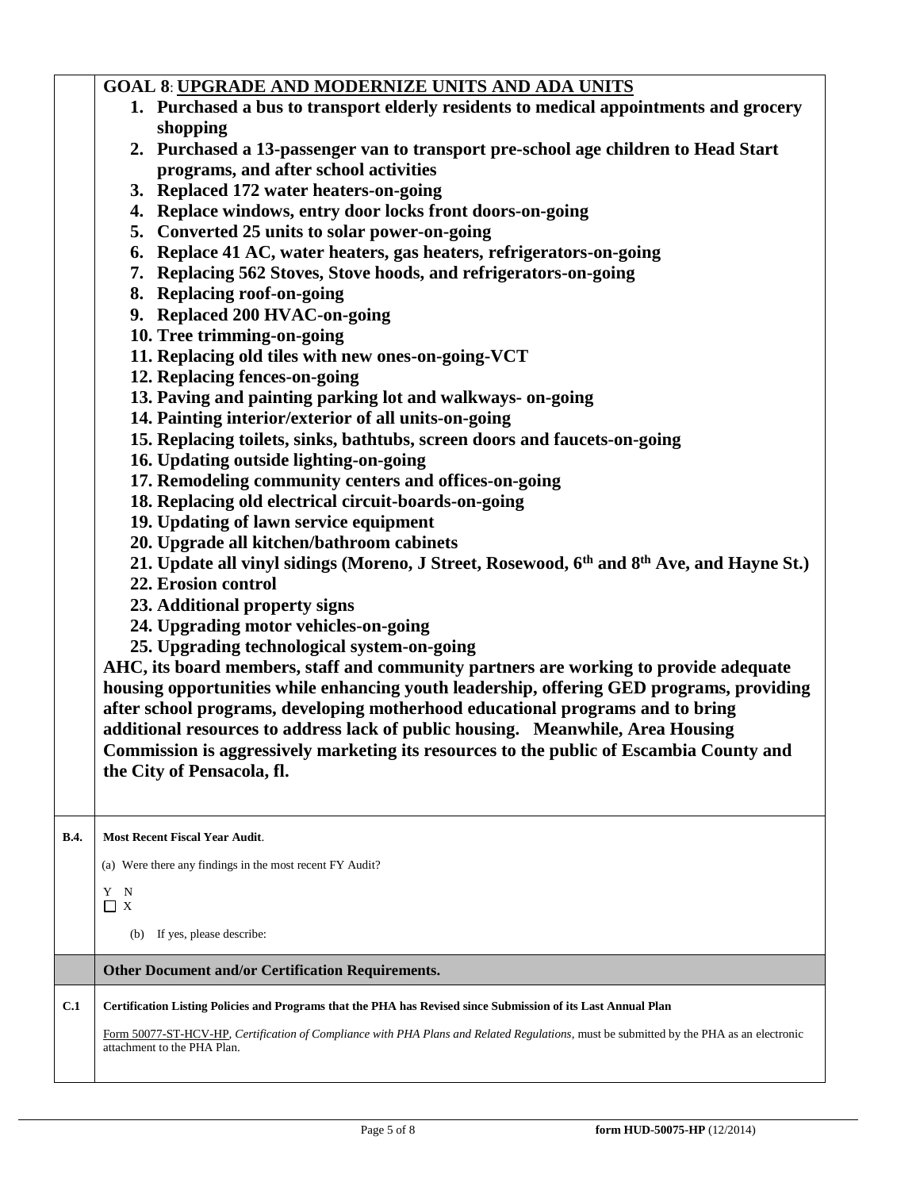### **GOAL 8**: **UPGRADE AND MODERNIZE UNITS AND ADA UNITS**

- **1. Purchased a bus to transport elderly residents to medical appointments and grocery shopping**
- **2. Purchased a 13-passenger van to transport pre-school age children to Head Start programs, and after school activities**
- **3. Replaced 172 water heaters-on-going**
- **4. Replace windows, entry door locks front doors-on-going**
- **5. Converted 25 units to solar power-on-going**
- **6. Replace 41 AC, water heaters, gas heaters, refrigerators-on-going**
- **7. Replacing 562 Stoves, Stove hoods, and refrigerators-on-going**
- **8. Replacing roof-on-going**
- **9. Replaced 200 HVAC-on-going**
- **10. Tree trimming-on-going**
- **11. Replacing old tiles with new ones-on-going-VCT**
- **12. Replacing fences-on-going**
- **13. Paving and painting parking lot and walkways- on-going**
- **14. Painting interior/exterior of all units-on-going**
- **15. Replacing toilets, sinks, bathtubs, screen doors and faucets-on-going**
- **16. Updating outside lighting-on-going**
- **17. Remodeling community centers and offices-on-going**
- **18. Replacing old electrical circuit-boards-on-going**
- **19. Updating of lawn service equipment**
- **20. Upgrade all kitchen/bathroom cabinets**
- **21. Update all vinyl sidings (Moreno, J Street, Rosewood, 6th and 8th Ave, and Hayne St.)**
- **22. Erosion control**
- **23. Additional property signs**
- **24. Upgrading motor vehicles-on-going**
- **25. Upgrading technological system-on-going**

**AHC, its board members, staff and community partners are working to provide adequate housing opportunities while enhancing youth leadership, offering GED programs, providing after school programs, developing motherhood educational programs and to bring additional resources to address lack of public housing. Meanwhile, Area Housing Commission is aggressively marketing its resources to the public of Escambia County and the City of Pensacola, fl.**

**B.4. Most Recent Fiscal Year Audit**.

(a) Were there any findings in the most recent FY Audit?

- Y N
- $\Box$  x

(b) If yes, please describe:

#### **Other Document and/or Certification Requirements.**

#### **C.1 Certification Listing Policies and Programs that the PHA has Revised since Submission of its Last Annual Plan**

Form 50077-ST-HCV-HP, *Certification of Compliance with PHA Plans and Related Regulations,* must be submitted by the PHA as an electronic attachment to the PHA Plan.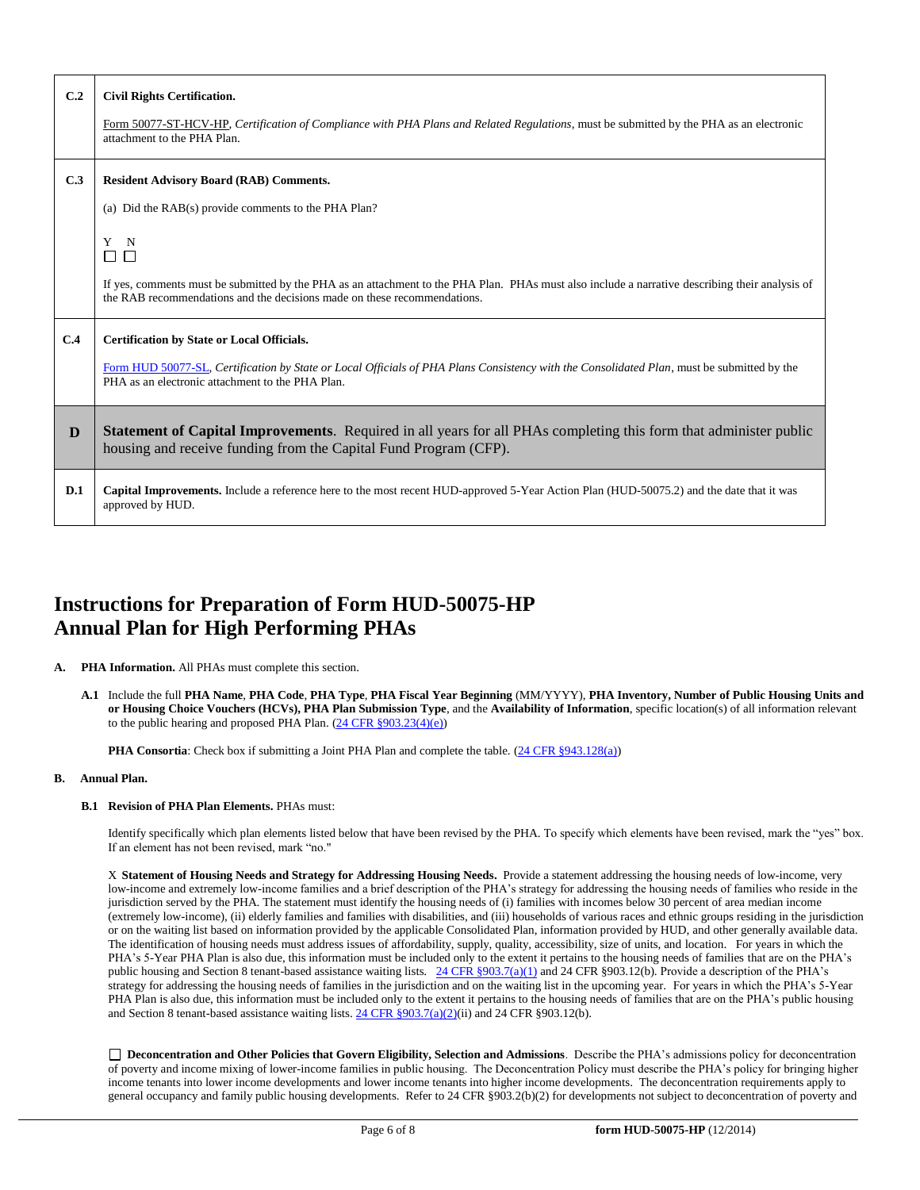| C.2 | <b>Civil Rights Certification.</b><br>Form 50077-ST-HCV-HP, Certification of Compliance with PHA Plans and Related Regulations, must be submitted by the PHA as an electronic<br>attachment to the PHA Plan.                                        |
|-----|-----------------------------------------------------------------------------------------------------------------------------------------------------------------------------------------------------------------------------------------------------|
| C.3 | <b>Resident Advisory Board (RAB) Comments.</b><br>(a) Did the RAB(s) provide comments to the PHA Plan?<br>Y<br>$\mathbf N$<br>$\Box$ $\Box$                                                                                                         |
|     | If yes, comments must be submitted by the PHA as an attachment to the PHA Plan. PHAs must also include a narrative describing their analysis of<br>the RAB recommendations and the decisions made on these recommendations.                         |
| C.4 | <b>Certification by State or Local Officials.</b><br>Form HUD 50077-SL, Certification by State or Local Officials of PHA Plans Consistency with the Consolidated Plan, must be submitted by the<br>PHA as an electronic attachment to the PHA Plan. |
| D   | <b>Statement of Capital Improvements.</b> Required in all years for all PHAs completing this form that administer public<br>housing and receive funding from the Capital Fund Program (CFP).                                                        |
| D.1 | Capital Improvements. Include a reference here to the most recent HUD-approved 5-Year Action Plan (HUD-50075.2) and the date that it was<br>approved by HUD.                                                                                        |

# **Instructions for Preparation of Form HUD-50075-HP Annual Plan for High Performing PHAs**

- **A. PHA Information.** All PHAs must complete this section.
	- **A.1** Include the full **PHA Name**, **PHA Code**, **PHA Type**, **PHA Fiscal Year Beginning** (MM/YYYY), **PHA Inventory, Number of Public Housing Units and or Housing Choice Vouchers (HCVs), PHA Plan Submission Type**, and the **Availability of Information**, specific location(s) of all information relevant to the public hearing and proposed PHA Plan.  $(24 \text{ CFR } \S 903.23(4)(e))$

**PHA Consortia**: Check box if submitting a Joint PHA Plan and complete the table. [\(24 CFR §943.128\(a\)\)](http://ecfr.gpoaccess.gov/cgi/t/text/text-idx?c=ecfr&sid=cc31cf1c3a2b84ba4ead75d35d258f67&rgn=div5&view=text&node=24:4.0.3.1.10&idno=24#24:4.0.3.1.10.2.5.7)

#### **B. Annual Plan.**

#### **B.1 Revision of PHA Plan Elements.** PHAs must:

Identify specifically which plan elements listed below that have been revised by the PHA. To specify which elements have been revised, mark the "yes" box. If an element has not been revised, mark "no."

X **Statement of Housing Needs and Strategy for Addressing Housing Needs.** Provide a statement addressing the housing needs of low-income, very low-income and extremely low-income families and a brief description of the PHA's strategy for addressing the housing needs of families who reside in the jurisdiction served by the PHA. The statement must identify the housing needs of (i) families with incomes below 30 percent of area median income (extremely low-income), (ii) elderly families and families with disabilities, and (iii) households of various races and ethnic groups residing in the jurisdiction or on the waiting list based on information provided by the applicable Consolidated Plan, information provided by HUD, and other generally available data. The identification of housing needs must address issues of affordability, supply, quality, accessibility, size of units, and location. For years in which the PHA's 5-Year PHA Plan is also due, this information must be included only to the extent it pertains to the housing needs of families that are on the PHA's public housing and Section 8 tenant-based assistance waiting lists. [24 CFR §903.7\(a\)\(1\)](http://ecfr.gpoaccess.gov/cgi/t/text/text-idx?c=ecfr&sid=13734845220744370804c20da2294a03&rgn=div5&view=text&node=24:4.0.3.1.3&idno=24#24:4.0.3.1.3.2.5.5) and 24 CFR §903.12(b). Provide a description of the PHA's strategy for addressing the housing needs of families in the jurisdiction and on the waiting list in the upcoming year. For years in which the PHA's 5-Year PHA Plan is also due, this information must be included only to the extent it pertains to the housing needs of families that are on the PHA's public housing and Section 8 tenant-based assistance waiting lists. [24 CFR §903.7\(a\)\(2\)\(](http://ecfr.gpoaccess.gov/cgi/t/text/text-idx?c=ecfr&sid=13734845220744370804c20da2294a03&rgn=div5&view=text&node=24:4.0.3.1.3&idno=24#24:4.0.3.1.3.2.5.5)ii) and 24 CFR §903.12(b).

 **Deconcentration and Other Policies that Govern Eligibility, Selection and Admissions**. Describe the PHA's admissions policy for deconcentration of poverty and income mixing of lower-income families in public housing. The Deconcentration Policy must describe the PHA's policy for bringing higher income tenants into lower income developments and lower income tenants into higher income developments. The deconcentration requirements apply to general occupancy and family public housing developments. Refer to 24 CFR §903.2(b)(2) for developments not subject to deconcentration of poverty and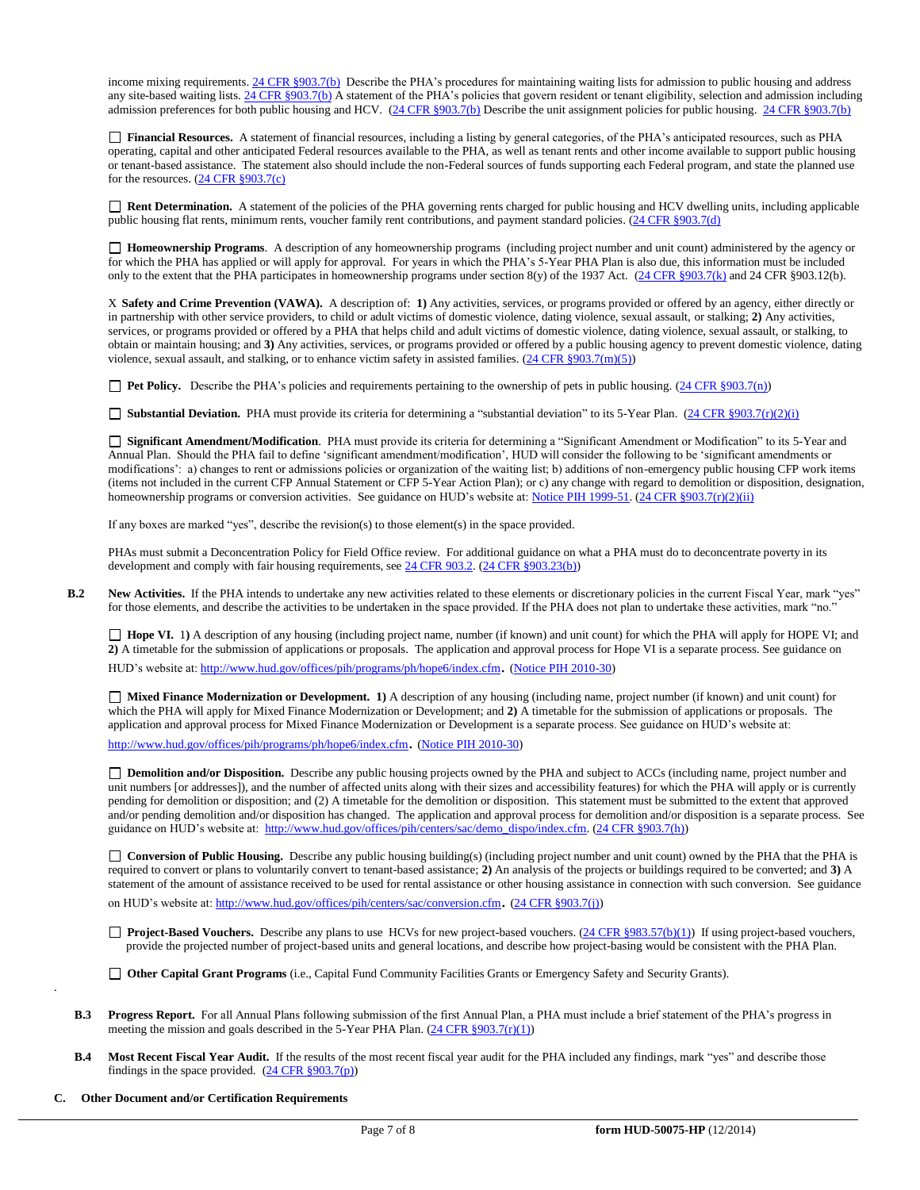income mixing requirements[. 24 CFR §903.7\(b\)](http://ecfr.gpoaccess.gov/cgi/t/text/text-idx?c=ecfr&sid=b44bf19bef93dd31287608d2c687e271&rgn=div5&view=text&node=24:4.0.3.1.3&idno=24#24:4.0.3.1.3.2.5.5) Describe the PHA's procedures for maintaining waiting lists for admission to public housing and address any site-based waiting lists[. 24 CFR §903.7\(b\)](http://ecfr.gpoaccess.gov/cgi/t/text/text-idx?c=ecfr&sid=b44bf19bef93dd31287608d2c687e271&rgn=div5&view=text&node=24:4.0.3.1.3&idno=24#24:4.0.3.1.3.2.5.5) A statement of the PHA's policies that govern resident or tenant eligibility, selection and admission including admission preferences for both public housing and HCV. [\(24 CFR §903.7\(b\)](http://ecfr.gpoaccess.gov/cgi/t/text/text-idx?c=ecfr&sid=b44bf19bef93dd31287608d2c687e271&rgn=div5&view=text&node=24:4.0.3.1.3&idno=24#24:4.0.3.1.3.2.5.5) Describe the unit assignment policies for public housing. [24 CFR §903.7\(b\)](http://ecfr.gpoaccess.gov/cgi/t/text/text-idx?c=ecfr&sid=b44bf19bef93dd31287608d2c687e271&rgn=div5&view=text&node=24:4.0.3.1.3&idno=24#24:4.0.3.1.3.2.5.5)

 **Financial Resources.** A statement of financial resources, including a listing by general categories, of the PHA's anticipated resources, such as PHA operating, capital and other anticipated Federal resources available to the PHA, as well as tenant rents and other income available to support public housing or tenant-based assistance. The statement also should include the non-Federal sources of funds supporting each Federal program, and state the planned use for the resources. [\(24 CFR §903.7\(c\)](http://ecfr.gpoaccess.gov/cgi/t/text/text-idx?c=ecfr&sid=b44bf19bef93dd31287608d2c687e271&rgn=div5&view=text&node=24:4.0.3.1.3&idno=24)

 **Rent Determination.** A statement of the policies of the PHA governing rents charged for public housing and HCV dwelling units, including applicable public housing flat rents, minimum rents, voucher family rent contributions, and payment standard policies. [\(24 CFR §903.7\(d\)](http://ecfr.gpoaccess.gov/cgi/t/text/text-idx?c=ecfr&sid=b44bf19bef93dd31287608d2c687e271&rgn=div5&view=text&node=24:4.0.3.1.3&idno=24#24:4.0.3.1.3.2.5.5)

 **Homeownership Programs**. A description of any homeownership programs (including project number and unit count) administered by the agency or for which the PHA has applied or will apply for approval. For years in which the PHA's 5-Year PHA Plan is also due, this information must be included only to the extent that the PHA participates in homeownership programs under section 8(y) of the 1937 Act. (24 CFR [§903.7\(k\)](http://ecfr.gpoaccess.gov/cgi/t/text/text-idx?c=ecfr&sid=b44bf19bef93dd31287608d2c687e271&rgn=div5&view=text&node=24:4.0.3.1.3&idno=24#24:4.0.3.1.3.2.5.5) and 24 CFR §903.12(b).

X **Safety and Crime Prevention (VAWA).** A description of: **1)** Any activities, services, or programs provided or offered by an agency, either directly or in partnership with other service providers, to child or adult victims of domestic violence, dating violence, sexual assault, or stalking; **2)** Any activities, services, or programs provided or offered by a PHA that helps child and adult victims of domestic violence, dating violence, sexual assault, or stalking, to obtain or maintain housing; and **3)** Any activities, services, or programs provided or offered by a public housing agency to prevent domestic violence, dating violence, sexual assault, and stalking, or to enhance victim safety in assisted families.  $(24 \text{ CFR } \text{S}903.7(\text{m})(5))$ 

□ **Pet Policy.** Describe the PHA's policies and requirements pertaining to the ownership of pets in public housing. [\(24 CFR §903.7\(n\)\)](http://ecfr.gpoaccess.gov/cgi/t/text/text-idx?c=ecfr&sid=13734845220744370804c20da2294a03&rgn=div5&view=text&node=24:4.0.3.1.3&idno=24#24:4.0.3.1.3.2.5.5)

■ **Substantial Deviation.** PHA must provide its criteria for determining a "substantial deviation" to its 5-Year Plan. (24 CFR §903.7(r)(2)(i)

 **Significant Amendment/Modification**. PHA must provide its criteria for determining a "Significant Amendment or Modification" to its 5-Year and Annual Plan. Should the PHA fail to define 'significant amendment/modification', HUD will consider the following to be 'significant amendments or modifications': a) changes to rent or admissions policies or organization of the waiting list; b) additions of non-emergency public housing CFP work items (items not included in the current CFP Annual Statement or CFP 5-Year Action Plan); or c) any change with regard to demolition or disposition, designation, homeownership programs or conversion activities. See guidance on HUD's website at: [Notice PIH](http://portal.hud.gov/hudportal/HUD?src=/program_offices/administration/hudclips/notices/pih) 1999-51. (24 CFR §903.7(r)(2)(ii)

If any boxes are marked "yes", describe the revision(s) to those element(s) in the space provided.

PHAs must submit a Deconcentration Policy for Field Office review. For additional guidance on what a PHA must do to deconcentrate poverty in its development and comply with fair housing requirements, se[e 24 CFR 903.2.](http://ecfr.gpoaccess.gov/cgi/t/text/text-idx?c=ecfr&sid=31b6a8e6f1110b36cc115eb6e4d5e3b4&rgn=div5&view=text&node=24:4.0.3.1.3&idno=24#24:4.0.3.1.3.1.5.2) [\(24 CFR §903.23\(b\)\)](http://ecfr.gpoaccess.gov/cgi/t/text/text-idx?c=ecfr&sid=13734845220744370804c20da2294a03&rgn=div5&view=text&node=24:4.0.3.1.3&idno=24#24:4.0.3.1.3.2.5.9)

**B.2** New Activities. If the PHA intends to undertake any new activities related to these elements or discretionary policies in the current Fiscal Year, mark "yes" for those elements, and describe the activities to be undertaken in the space provided. If the PHA does not plan to undertake these activities, mark "no."

**Hope VI.** 1) A description of any housing (including project name, number (if known) and unit count) for which the PHA will apply for HOPE VI; and **2)** A timetable for the submission of applications or proposals. The application and approval process for Hope VI is a separate process. See guidance on HUD's website at[: http://www.hud.gov/offices/pih/programs/ph/hope6/index.cfm](http://www.hud.gov/offices/pih/programs/ph/hope6/index.cfm). [\(Notice PIH 2010-30\)](http://www.hud.gov/offices/adm/hudclips/notices/pih/07pihnotices.cfm)

 **Mixed Finance Modernization or Development. 1)** A description of any housing (including name, project number (if known) and unit count) for which the PHA will apply for Mixed Finance Modernization or Development; and **2)** A timetable for the submission of applications or proposals. The application and approval process for Mixed Finance Modernization or Development is a separate process. See guidance on HUD's website at: <http://www.hud.gov/offices/pih/programs/ph/hope6/index.cfm>. [\(Notice PIH 2010-30\)](http://www.hud.gov/offices/adm/hudclips/notices/pih/07pihnotices.cfm)

□ **Demolition and/or Disposition.** Describe any public housing projects owned by the PHA and subject to ACCs (including name, project number and unit numbers [or addresses]), and the number of affected units along with their sizes and accessibility features) for which the PHA will apply or is currently pending for demolition or disposition; and (2) A timetable for the demolition or disposition. This statement must be submitted to the extent that approved and/or pending demolition and/or disposition has changed. The application and approval process for demolition and/or disposition is a separate process. See guidance on HUD's website at: [http://www.hud.gov/offices/pih/centers/sac/demo\\_dispo/index.cfm.](http://www.hud.gov/offices/pih/centers/sac/demo_dispo/index.cfm) [\(24 CFR §903.7\(h\)\)](http://ecfr.gpoaccess.gov/cgi/t/text/text-idx?c=ecfr&sid=13734845220744370804c20da2294a03&rgn=div5&view=text&node=24:4.0.3.1.3&idno=24#24:4.0.3.1.3.2.5.5)

**Conversion of Public Housing.** Describe any public housing building(s) (including project number and unit count) owned by the PHA that the PHA is required to convert or plans to voluntarily convert to tenant-based assistance; **2)** An analysis of the projects or buildings required to be converted; and **3)** A statement of the amount of assistance received to be used for rental assistance or other housing assistance in connection with such conversion. See guidance on HUD's website at[: http://www.hud.gov/offices/pih/centers/sac/conversion.cfm](http://www.hud.gov/offices/pih/centers/sac/conversion.cfm). [\(24 CFR §903.7\(j\)\)](http://ecfr.gpoaccess.gov/cgi/t/text/text-idx?c=ecfr&sid=13734845220744370804c20da2294a03&rgn=div5&view=text&node=24:4.0.3.1.3&idno=24#24:4.0.3.1.3.2.5.5)

■ **Project-Based Vouchers.** Describe any plans to use HCVs for new project-based vouchers. [\(24 CFR §983.57\(b\)\(1\)\)](http://ecfr.gpoaccess.gov/cgi/t/text/text-idx?c=ecfr&sid=b44bf19bef93dd31287608d2c687e271&rgn=div5&view=text&node=24:4.0.3.1.24&idno=24#24:4.0.3.1.24.2.41.7) If using project-based vouchers, provide the projected number of project-based units and general locations, and describe how project-basing would be consistent with the PHA Plan.

**Other Capital Grant Programs** (i.e., Capital Fund Community Facilities Grants or Emergency Safety and Security Grants).

- **B.3 Progress Report.** For all Annual Plans following submission of the first Annual Plan, a PHA must include a brief statement of the PHA's progress in meeting the mission and goals described in the 5-Year PHA Plan.  $(24 \text{ CFR } \frac{8903.7(r)(1)}{r})$
- **B.4 Most Recent Fiscal Year Audit.** If the results of the most recent fiscal year audit for the PHA included any findings, mark "yes" and describe those findings in the space provided.  $(24 \text{ CFR } \text{\textless} 903.7(p))$
- **C. Other Document and/or Certification Requirements**

.